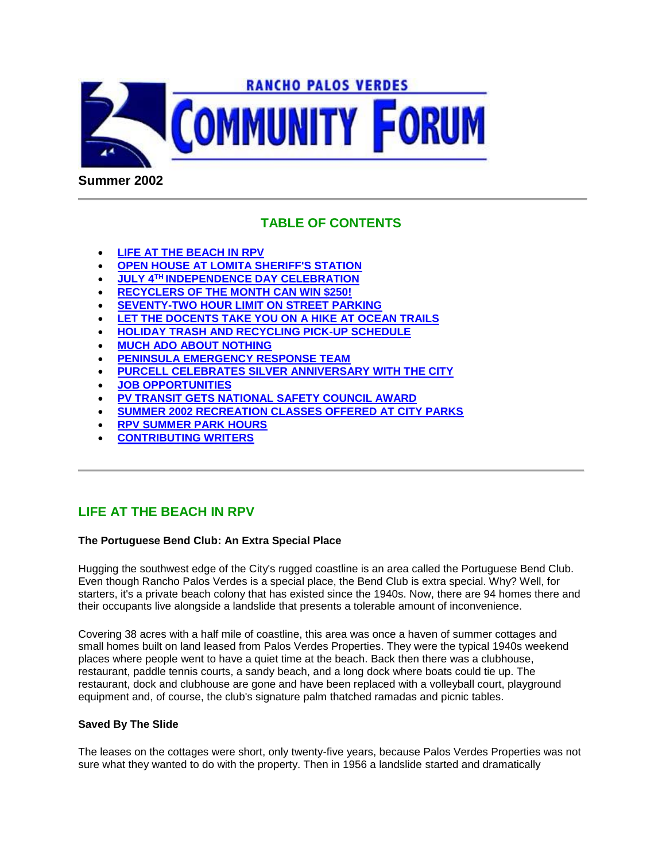

**Summer 2002**

# **TABLE OF CONTENTS**

- **LIFE AT THE BEACH IN RPV**
- **OPEN HOUSE AT LOMITA SHERIFF'S STATION**
- **JULY 4TH INDEPENDENCE DAY CELEBRATION**
- **RECYCLERS OF THE MONTH CAN WIN \$250!**
- **SEVENTY-TWO HOUR LIMIT ON STREET PARKING**
- **LET THE DOCENTS TAKE YOU ON A HIKE AT OCEAN TRAILS**
- **HOLIDAY TRASH AND RECYCLING PICK-UP SCHEDULE**
- **MUCH ADO ABOUT NOTHING**
- **PENINSULA EMERGENCY RESPONSE TEAM**
- **PURCELL CELEBRATES SILVER ANNIVERSARY WITH THE CITY**
- **JOB OPPORTUNITIES**
- **PV TRANSIT GETS NATIONAL SAFETY COUNCIL AWARD**
- **SUMMER 2002 RECREATION CLASSES OFFERED AT CITY PARKS**
- **RPV SUMMER PARK HOURS**
- **CONTRIBUTING WRITERS**

# **LIFE AT THE BEACH IN RPV**

#### **The Portuguese Bend Club: An Extra Special Place**

Hugging the southwest edge of the City's rugged coastline is an area called the Portuguese Bend Club. Even though Rancho Palos Verdes is a special place, the Bend Club is extra special. Why? Well, for starters, it's a private beach colony that has existed since the 1940s. Now, there are 94 homes there and their occupants live alongside a landslide that presents a tolerable amount of inconvenience.

Covering 38 acres with a half mile of coastline, this area was once a haven of summer cottages and small homes built on land leased from Palos Verdes Properties. They were the typical 1940s weekend places where people went to have a quiet time at the beach. Back then there was a clubhouse, restaurant, paddle tennis courts, a sandy beach, and a long dock where boats could tie up. The restaurant, dock and clubhouse are gone and have been replaced with a volleyball court, playground equipment and, of course, the club's signature palm thatched ramadas and picnic tables.

#### **Saved By The Slide**

The leases on the cottages were short, only twenty-five years, because Palos Verdes Properties was not sure what they wanted to do with the property. Then in 1956 a landslide started and dramatically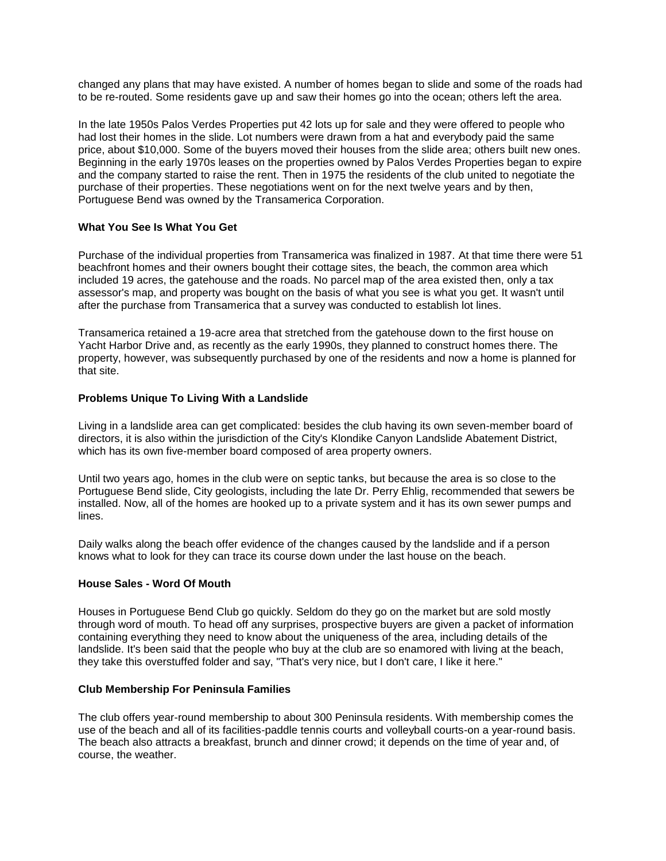changed any plans that may have existed. A number of homes began to slide and some of the roads had to be re-routed. Some residents gave up and saw their homes go into the ocean; others left the area.

In the late 1950s Palos Verdes Properties put 42 lots up for sale and they were offered to people who had lost their homes in the slide. Lot numbers were drawn from a hat and everybody paid the same price, about \$10,000. Some of the buyers moved their houses from the slide area; others built new ones. Beginning in the early 1970s leases on the properties owned by Palos Verdes Properties began to expire and the company started to raise the rent. Then in 1975 the residents of the club united to negotiate the purchase of their properties. These negotiations went on for the next twelve years and by then, Portuguese Bend was owned by the Transamerica Corporation.

#### **What You See Is What You Get**

Purchase of the individual properties from Transamerica was finalized in 1987. At that time there were 51 beachfront homes and their owners bought their cottage sites, the beach, the common area which included 19 acres, the gatehouse and the roads. No parcel map of the area existed then, only a tax assessor's map, and property was bought on the basis of what you see is what you get. It wasn't until after the purchase from Transamerica that a survey was conducted to establish lot lines.

Transamerica retained a 19-acre area that stretched from the gatehouse down to the first house on Yacht Harbor Drive and, as recently as the early 1990s, they planned to construct homes there. The property, however, was subsequently purchased by one of the residents and now a home is planned for that site.

#### **Problems Unique To Living With a Landslide**

Living in a landslide area can get complicated: besides the club having its own seven-member board of directors, it is also within the jurisdiction of the City's Klondike Canyon Landslide Abatement District, which has its own five-member board composed of area property owners.

Until two years ago, homes in the club were on septic tanks, but because the area is so close to the Portuguese Bend slide, City geologists, including the late Dr. Perry Ehlig, recommended that sewers be installed. Now, all of the homes are hooked up to a private system and it has its own sewer pumps and lines.

Daily walks along the beach offer evidence of the changes caused by the landslide and if a person knows what to look for they can trace its course down under the last house on the beach.

#### **House Sales - Word Of Mouth**

Houses in Portuguese Bend Club go quickly. Seldom do they go on the market but are sold mostly through word of mouth. To head off any surprises, prospective buyers are given a packet of information containing everything they need to know about the uniqueness of the area, including details of the landslide. It's been said that the people who buy at the club are so enamored with living at the beach, they take this overstuffed folder and say, "That's very nice, but I don't care, I like it here."

#### **Club Membership For Peninsula Families**

The club offers year-round membership to about 300 Peninsula residents. With membership comes the use of the beach and all of its facilities-paddle tennis courts and volleyball courts-on a year-round basis. The beach also attracts a breakfast, brunch and dinner crowd; it depends on the time of year and, of course, the weather.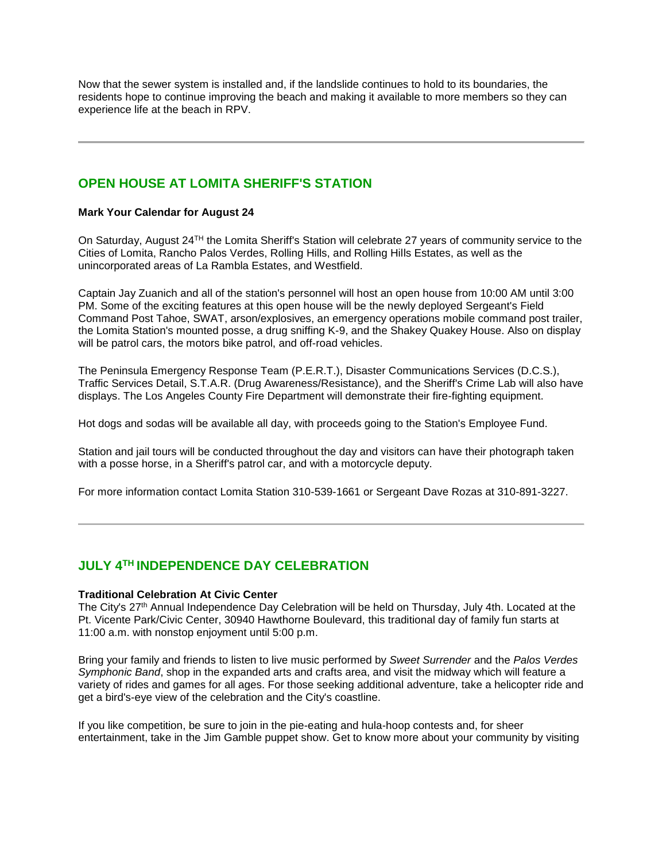Now that the sewer system is installed and, if the landslide continues to hold to its boundaries, the residents hope to continue improving the beach and making it available to more members so they can experience life at the beach in RPV.

# **OPEN HOUSE AT LOMITA SHERIFF'S STATION**

#### **Mark Your Calendar for August 24**

On Saturday, August 24TH the Lomita Sheriff's Station will celebrate 27 years of community service to the Cities of Lomita, Rancho Palos Verdes, Rolling Hills, and Rolling Hills Estates, as well as the unincorporated areas of La Rambla Estates, and Westfield.

Captain Jay Zuanich and all of the station's personnel will host an open house from 10:00 AM until 3:00 PM. Some of the exciting features at this open house will be the newly deployed Sergeant's Field Command Post Tahoe, SWAT, arson/explosives, an emergency operations mobile command post trailer, the Lomita Station's mounted posse, a drug sniffing K-9, and the Shakey Quakey House. Also on display will be patrol cars, the motors bike patrol, and off-road vehicles.

The Peninsula Emergency Response Team (P.E.R.T.), Disaster Communications Services (D.C.S.), Traffic Services Detail, S.T.A.R. (Drug Awareness/Resistance), and the Sheriff's Crime Lab will also have displays. The Los Angeles County Fire Department will demonstrate their fire-fighting equipment.

Hot dogs and sodas will be available all day, with proceeds going to the Station's Employee Fund.

Station and jail tours will be conducted throughout the day and visitors can have their photograph taken with a posse horse, in a Sheriff's patrol car, and with a motorcycle deputy.

For more information contact Lomita Station 310-539-1661 or Sergeant Dave Rozas at 310-891-3227.

# **JULY 4TH INDEPENDENCE DAY CELEBRATION**

#### **Traditional Celebration At Civic Center**

The City's 27<sup>th</sup> Annual Independence Day Celebration will be held on Thursday, July 4th. Located at the Pt. Vicente Park/Civic Center, 30940 Hawthorne Boulevard, this traditional day of family fun starts at 11:00 a.m. with nonstop enjoyment until 5:00 p.m.

Bring your family and friends to listen to live music performed by *Sweet Surrender* and the *Palos Verdes Symphonic Band*, shop in the expanded arts and crafts area, and visit the midway which will feature a variety of rides and games for all ages. For those seeking additional adventure, take a helicopter ride and get a bird's-eye view of the celebration and the City's coastline.

If you like competition, be sure to join in the pie-eating and hula-hoop contests and, for sheer entertainment, take in the Jim Gamble puppet show. Get to know more about your community by visiting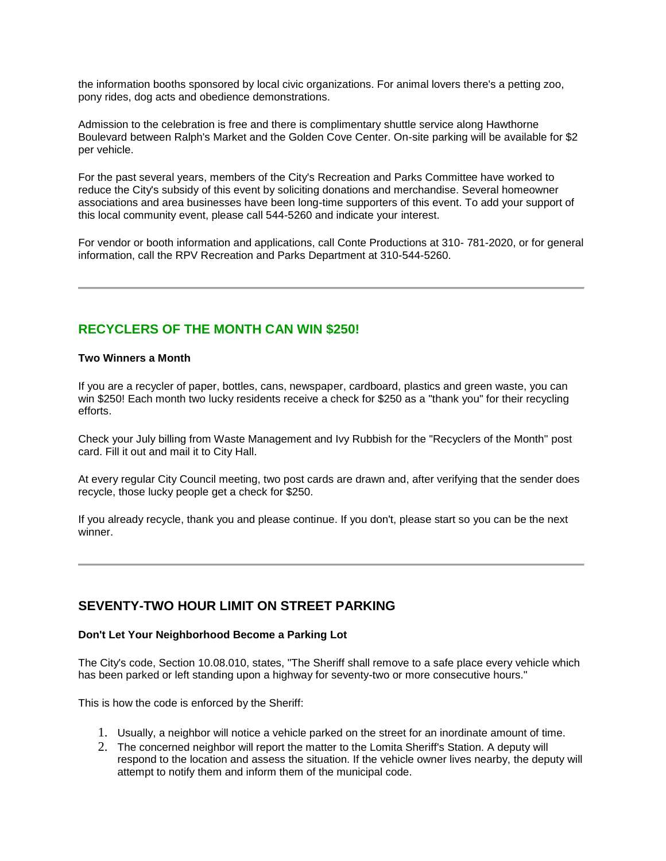the information booths sponsored by local civic organizations. For animal lovers there's a petting zoo, pony rides, dog acts and obedience demonstrations.

Admission to the celebration is free and there is complimentary shuttle service along Hawthorne Boulevard between Ralph's Market and the Golden Cove Center. On-site parking will be available for \$2 per vehicle.

For the past several years, members of the City's Recreation and Parks Committee have worked to reduce the City's subsidy of this event by soliciting donations and merchandise. Several homeowner associations and area businesses have been long-time supporters of this event. To add your support of this local community event, please call 544-5260 and indicate your interest.

For vendor or booth information and applications, call Conte Productions at 310- 781-2020, or for general information, call the RPV Recreation and Parks Department at 310-544-5260.

## **RECYCLERS OF THE MONTH CAN WIN \$250!**

#### **Two Winners a Month**

If you are a recycler of paper, bottles, cans, newspaper, cardboard, plastics and green waste, you can win \$250! Each month two lucky residents receive a check for \$250 as a "thank you" for their recycling efforts.

Check your July billing from Waste Management and Ivy Rubbish for the "Recyclers of the Month" post card. Fill it out and mail it to City Hall.

At every regular City Council meeting, two post cards are drawn and, after verifying that the sender does recycle, those lucky people get a check for \$250.

If you already recycle, thank you and please continue. If you don't, please start so you can be the next winner.

### **SEVENTY-TWO HOUR LIMIT ON STREET PARKING**

#### **Don't Let Your Neighborhood Become a Parking Lot**

The City's code, Section 10.08.010, states, "The Sheriff shall remove to a safe place every vehicle which has been parked or left standing upon a highway for seventy-two or more consecutive hours."

This is how the code is enforced by the Sheriff:

- 1. Usually, a neighbor will notice a vehicle parked on the street for an inordinate amount of time.
- 2. The concerned neighbor will report the matter to the Lomita Sheriff's Station. A deputy will respond to the location and assess the situation. If the vehicle owner lives nearby, the deputy will attempt to notify them and inform them of the municipal code.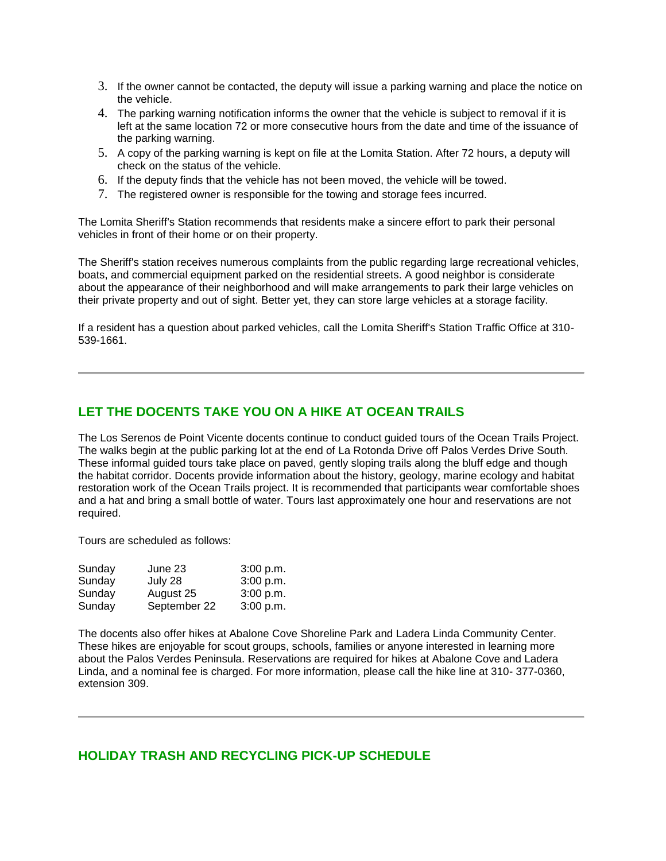- 3. If the owner cannot be contacted, the deputy will issue a parking warning and place the notice on the vehicle.
- 4. The parking warning notification informs the owner that the vehicle is subject to removal if it is left at the same location 72 or more consecutive hours from the date and time of the issuance of the parking warning.
- 5. A copy of the parking warning is kept on file at the Lomita Station. After 72 hours, a deputy will check on the status of the vehicle.
- 6. If the deputy finds that the vehicle has not been moved, the vehicle will be towed.
- 7. The registered owner is responsible for the towing and storage fees incurred.

The Lomita Sheriff's Station recommends that residents make a sincere effort to park their personal vehicles in front of their home or on their property.

The Sheriff's station receives numerous complaints from the public regarding large recreational vehicles, boats, and commercial equipment parked on the residential streets. A good neighbor is considerate about the appearance of their neighborhood and will make arrangements to park their large vehicles on their private property and out of sight. Better yet, they can store large vehicles at a storage facility.

If a resident has a question about parked vehicles, call the Lomita Sheriff's Station Traffic Office at 310- 539-1661.

### **LET THE DOCENTS TAKE YOU ON A HIKE AT OCEAN TRAILS**

The Los Serenos de Point Vicente docents continue to conduct guided tours of the Ocean Trails Project. The walks begin at the public parking lot at the end of La Rotonda Drive off Palos Verdes Drive South. These informal guided tours take place on paved, gently sloping trails along the bluff edge and though the habitat corridor. Docents provide information about the history, geology, marine ecology and habitat restoration work of the Ocean Trails project. It is recommended that participants wear comfortable shoes and a hat and bring a small bottle of water. Tours last approximately one hour and reservations are not required.

Tours are scheduled as follows:

| Sunday | June 23      | 3:00 p.m. |
|--------|--------------|-----------|
| Sunday | July 28      | 3:00 p.m. |
| Sunday | August 25    | 3:00 p.m. |
| Sunday | September 22 | 3:00 p.m. |

The docents also offer hikes at Abalone Cove Shoreline Park and Ladera Linda Community Center. These hikes are enjoyable for scout groups, schools, families or anyone interested in learning more about the Palos Verdes Peninsula. Reservations are required for hikes at Abalone Cove and Ladera Linda, and a nominal fee is charged. For more information, please call the hike line at 310- 377-0360, extension 309.

### **HOLIDAY TRASH AND RECYCLING PICK-UP SCHEDULE**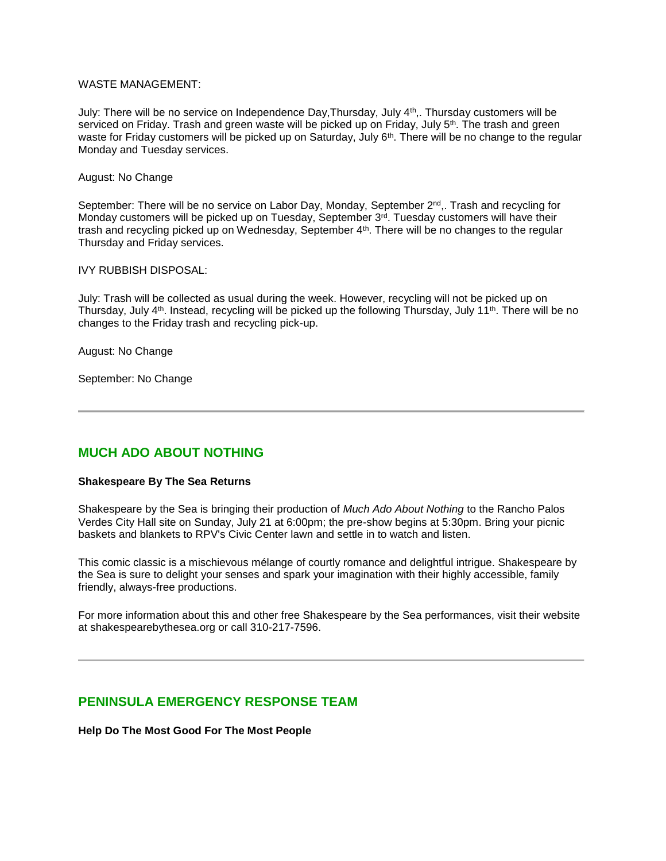#### WASTE MANAGEMENT:

July: There will be no service on Independence Day,Thursday, July 4th,. Thursday customers will be serviced on Friday. Trash and green waste will be picked up on Friday, July 5<sup>th</sup>. The trash and green waste for Friday customers will be picked up on Saturday, July 6<sup>th</sup>. There will be no change to the regular Monday and Tuesday services.

#### August: No Change

September: There will be no service on Labor Day, Monday, September 2<sup>nd</sup>,. Trash and recycling for Monday customers will be picked up on Tuesday, September 3rd. Tuesday customers will have their trash and recycling picked up on Wednesday, September 4<sup>th</sup>. There will be no changes to the regular Thursday and Friday services.

#### IVY RUBBISH DISPOSAL:

July: Trash will be collected as usual during the week. However, recycling will not be picked up on Thursday, July 4<sup>th</sup>. Instead, recycling will be picked up the following Thursday, July 11<sup>th</sup>. There will be no changes to the Friday trash and recycling pick-up.

August: No Change

September: No Change

## **MUCH ADO ABOUT NOTHING**

#### **Shakespeare By The Sea Returns**

Shakespeare by the Sea is bringing their production of *Much Ado About Nothing* to the Rancho Palos Verdes City Hall site on Sunday, July 21 at 6:00pm; the pre-show begins at 5:30pm. Bring your picnic baskets and blankets to RPV's Civic Center lawn and settle in to watch and listen.

This comic classic is a mischievous mélange of courtly romance and delightful intrigue. Shakespeare by the Sea is sure to delight your senses and spark your imagination with their highly accessible, family friendly, always-free productions.

For more information about this and other free Shakespeare by the Sea performances, visit their website at shakespearebythesea.org or call 310-217-7596.

### **PENINSULA EMERGENCY RESPONSE TEAM**

**Help Do The Most Good For The Most People**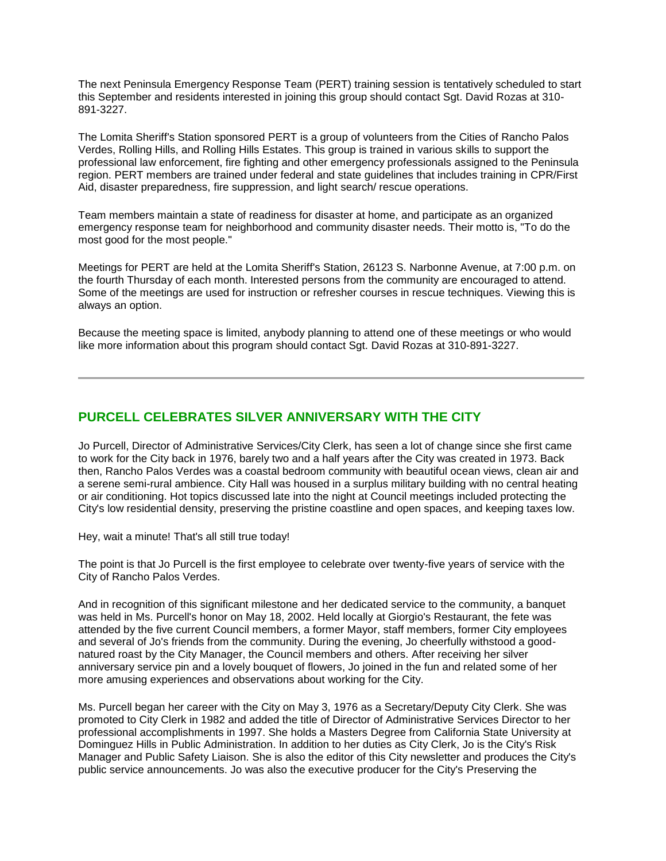The next Peninsula Emergency Response Team (PERT) training session is tentatively scheduled to start this September and residents interested in joining this group should contact Sgt. David Rozas at 310- 891-3227.

The Lomita Sheriff's Station sponsored PERT is a group of volunteers from the Cities of Rancho Palos Verdes, Rolling Hills, and Rolling Hills Estates. This group is trained in various skills to support the professional law enforcement, fire fighting and other emergency professionals assigned to the Peninsula region. PERT members are trained under federal and state guidelines that includes training in CPR/First Aid, disaster preparedness, fire suppression, and light search/ rescue operations.

Team members maintain a state of readiness for disaster at home, and participate as an organized emergency response team for neighborhood and community disaster needs. Their motto is, "To do the most good for the most people."

Meetings for PERT are held at the Lomita Sheriff's Station, 26123 S. Narbonne Avenue, at 7:00 p.m. on the fourth Thursday of each month. Interested persons from the community are encouraged to attend. Some of the meetings are used for instruction or refresher courses in rescue techniques. Viewing this is always an option.

Because the meeting space is limited, anybody planning to attend one of these meetings or who would like more information about this program should contact Sgt. David Rozas at 310-891-3227.

## **PURCELL CELEBRATES SILVER ANNIVERSARY WITH THE CITY**

Jo Purcell, Director of Administrative Services/City Clerk, has seen a lot of change since she first came to work for the City back in 1976, barely two and a half years after the City was created in 1973. Back then, Rancho Palos Verdes was a coastal bedroom community with beautiful ocean views, clean air and a serene semi-rural ambience. City Hall was housed in a surplus military building with no central heating or air conditioning. Hot topics discussed late into the night at Council meetings included protecting the City's low residential density, preserving the pristine coastline and open spaces, and keeping taxes low.

Hey, wait a minute! That's all still true today!

The point is that Jo Purcell is the first employee to celebrate over twenty-five years of service with the City of Rancho Palos Verdes.

And in recognition of this significant milestone and her dedicated service to the community, a banquet was held in Ms. Purcell's honor on May 18, 2002. Held locally at Giorgio's Restaurant, the fete was attended by the five current Council members, a former Mayor, staff members, former City employees and several of Jo's friends from the community. During the evening, Jo cheerfully withstood a goodnatured roast by the City Manager, the Council members and others. After receiving her silver anniversary service pin and a lovely bouquet of flowers, Jo joined in the fun and related some of her more amusing experiences and observations about working for the City.

Ms. Purcell began her career with the City on May 3, 1976 as a Secretary/Deputy City Clerk. She was promoted to City Clerk in 1982 and added the title of Director of Administrative Services Director to her professional accomplishments in 1997. She holds a Masters Degree from California State University at Dominguez Hills in Public Administration. In addition to her duties as City Clerk, Jo is the City's Risk Manager and Public Safety Liaison. She is also the editor of this City newsletter and produces the City's public service announcements. Jo was also the executive producer for the City's Preserving the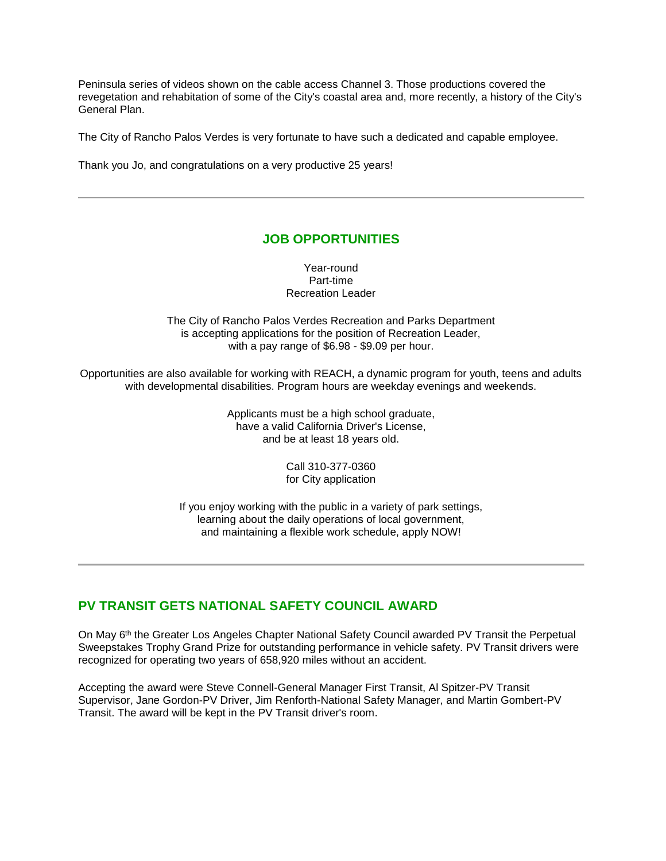Peninsula series of videos shown on the cable access Channel 3. Those productions covered the revegetation and rehabitation of some of the City's coastal area and, more recently, a history of the City's General Plan.

The City of Rancho Palos Verdes is very fortunate to have such a dedicated and capable employee.

Thank you Jo, and congratulations on a very productive 25 years!

### **JOB OPPORTUNITIES**

Year-round Part-time Recreation Leader

The City of Rancho Palos Verdes Recreation and Parks Department is accepting applications for the position of Recreation Leader, with a pay range of \$6.98 - \$9.09 per hour.

Opportunities are also available for working with REACH, a dynamic program for youth, teens and adults with developmental disabilities. Program hours are weekday evenings and weekends.

> Applicants must be a high school graduate, have a valid California Driver's License, and be at least 18 years old.

> > Call 310-377-0360 for City application

If you enjoy working with the public in a variety of park settings, learning about the daily operations of local government, and maintaining a flexible work schedule, apply NOW!

## **PV TRANSIT GETS NATIONAL SAFETY COUNCIL AWARD**

On May 6<sup>th</sup> the Greater Los Angeles Chapter National Safety Council awarded PV Transit the Perpetual Sweepstakes Trophy Grand Prize for outstanding performance in vehicle safety. PV Transit drivers were recognized for operating two years of 658,920 miles without an accident.

Accepting the award were Steve Connell-General Manager First Transit, Al Spitzer-PV Transit Supervisor, Jane Gordon-PV Driver, Jim Renforth-National Safety Manager, and Martin Gombert-PV Transit. The award will be kept in the PV Transit driver's room.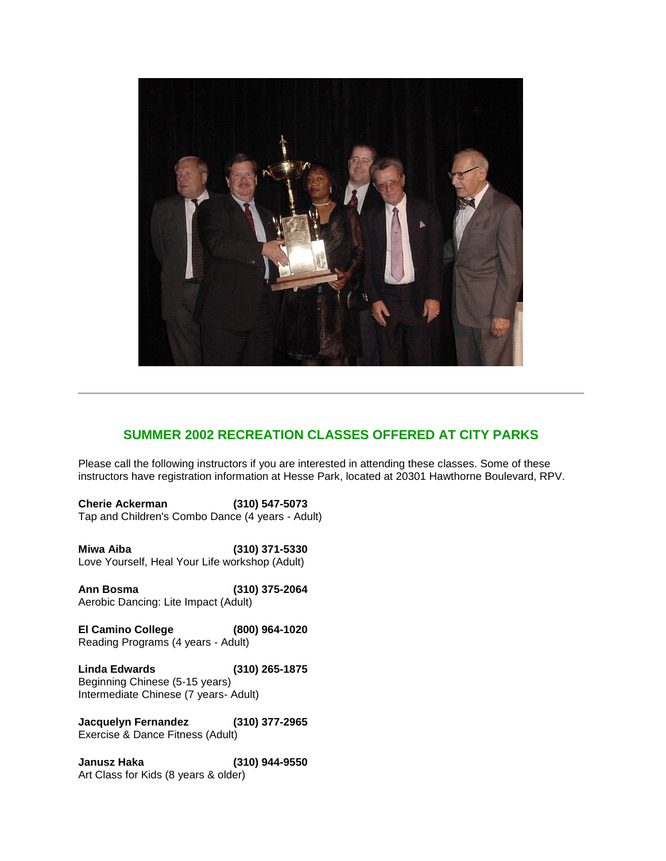

# **SUMMER 2002 RECREATION CLASSES OFFERED AT CITY PARKS**

Please call the following instructors if you are interested in attending these classes. Some of these instructors have registration information at Hesse Park, located at 20301 Hawthorne Boulevard, RPV.

**Cherie Ackerman (310) 547-5073** Tap and Children's Combo Dance (4 years - Adult)

**Miwa Aiba (310) 371-5330** Love Yourself, Heal Your Life workshop (Adult)

**Ann Bosma (310) 375-2064** Aerobic Dancing: Lite Impact (Adult)

**El Camino College (800) 964-1020** Reading Programs (4 years - Adult)

**Linda Edwards (310) 265-1875** Beginning Chinese (5-15 years) Intermediate Chinese (7 years- Adult)

**Jacquelyn Fernandez (310) 377-2965**  Exercise & Dance Fitness (Adult)

**Janusz Haka (310) 944-9550** Art Class for Kids (8 years & older)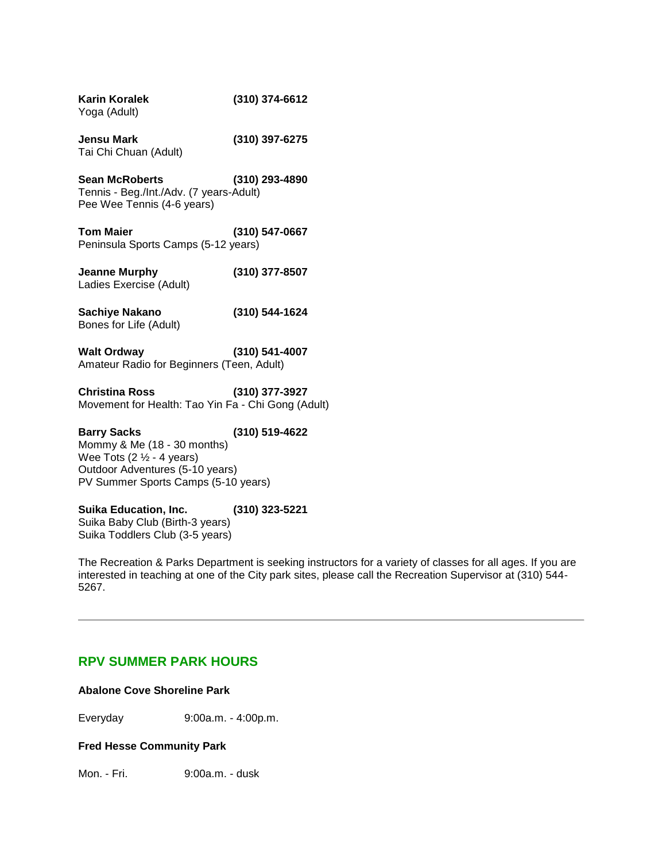| <b>Karin Koralek</b><br>Yoga (Adult)                                                                                                                                | (310) 374-6612 |
|---------------------------------------------------------------------------------------------------------------------------------------------------------------------|----------------|
| <b>Jensu Mark</b><br>Tai Chi Chuan (Adult)                                                                                                                          | (310) 397-6275 |
| <b>Sean McRoberts</b><br>Tennis - Beg./Int./Adv. (7 years-Adult)<br>Pee Wee Tennis (4-6 years)                                                                      | (310) 293-4890 |
| <b>Tom Maier</b><br>Peninsula Sports Camps (5-12 years)                                                                                                             | (310) 547-0667 |
| <b>Jeanne Murphy</b><br>Ladies Exercise (Adult)                                                                                                                     | (310) 377-8507 |
| <b>Sachiye Nakano</b><br>Bones for Life (Adult)                                                                                                                     | (310) 544-1624 |
| <b>Walt Ordway</b><br>Amateur Radio for Beginners (Teen, Adult)                                                                                                     | (310) 541-4007 |
| <b>Christina Ross</b><br>Movement for Health: Tao Yin Fa - Chi Gong (Adult)                                                                                         | (310) 377-3927 |
| <b>Barry Sacks</b><br>Mommy & Me (18 - 30 months)<br>Wee Tots $(2 \frac{1}{2} - 4 years)$<br>Outdoor Adventures (5-10 years)<br>PV Summer Sports Camps (5-10 years) | (310) 519-4622 |
| <b>Suika Education, Inc.</b><br>Suika Baby Club (Birth-3 years)<br>Suika Toddlers Club (3-5 years)                                                                  | (310) 323-5221 |
| The Recreation & Parks Department is seeking instr                                                                                                                  |                |

The Recreation & Parks Department is seeking instructors for a variety of classes for all ages. If you are interested in teaching at one of the City park sites, please call the Recreation Supervisor at (310) 544- 5267.

## **RPV SUMMER PARK HOURS**

### **Abalone Cove Shoreline Park**

Everyday 9:00a.m. - 4:00p.m.

## **Fred Hesse Community Park**

Mon. - Fri. 9:00a.m. - dusk